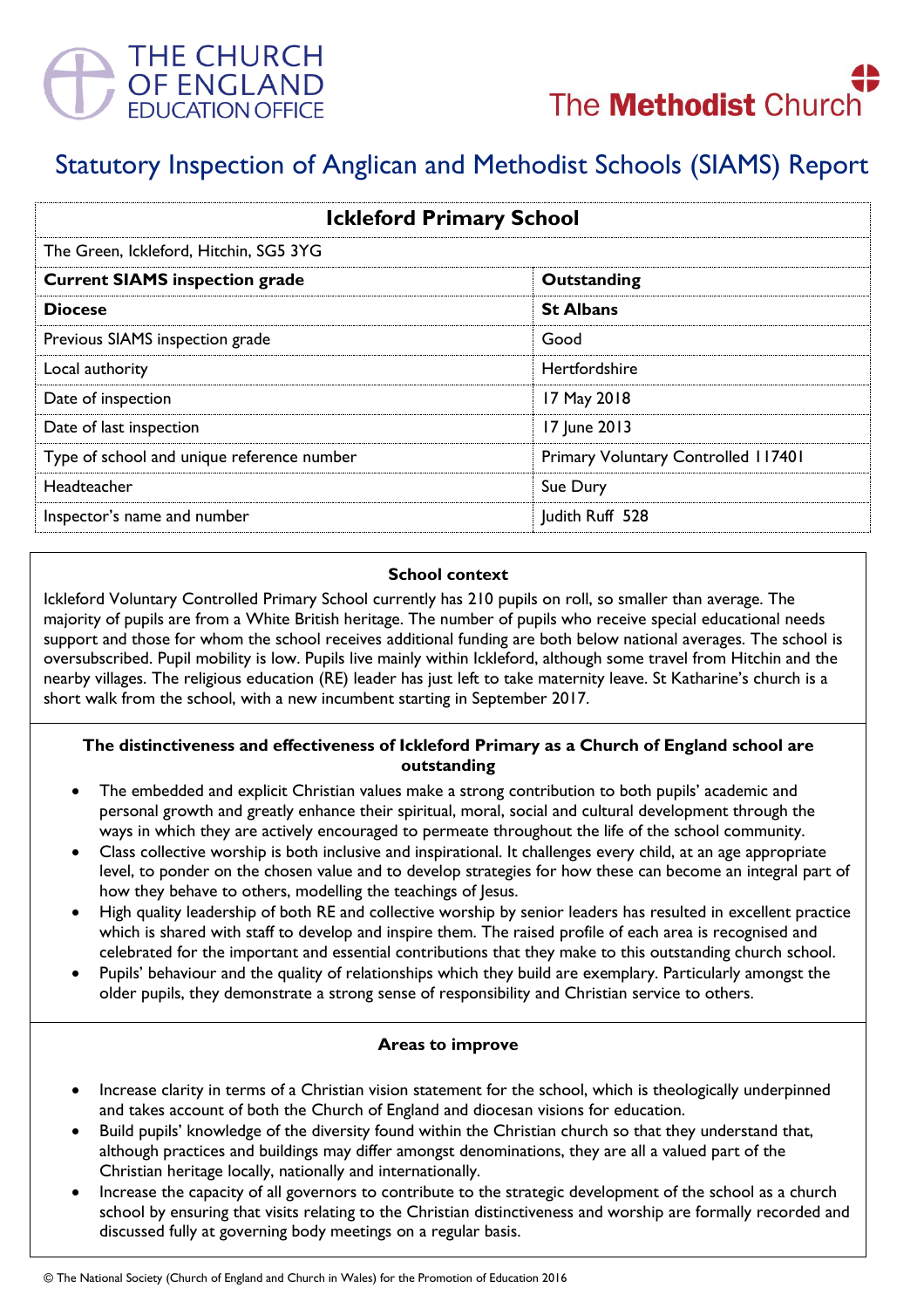



# Statutory Inspection of Anglican and Methodist Schools (SIAMS) Report

| <b>Ickleford Primary School</b>            |                                     |
|--------------------------------------------|-------------------------------------|
| The Green, Ickleford, Hitchin, SG5 3YG     |                                     |
| <b>Current SIAMS inspection grade</b>      | Outstanding                         |
| <b>Diocese</b>                             | <b>St Albans</b>                    |
| Previous SIAMS inspection grade            | Good                                |
| Local authority                            | <b>Hertfordshire</b>                |
| Date of inspection                         | 17 May 2018                         |
| Date of last inspection                    | 17 June 2013                        |
| Type of school and unique reference number | Primary Voluntary Controlled 117401 |
| Headteacher                                | Sue Dury                            |
| Inspector's name and number                | Judith Ruff 528                     |

### **School context**

Ickleford Voluntary Controlled Primary School currently has 210 pupils on roll, so smaller than average. The majority of pupils are from a White British heritage. The number of pupils who receive special educational needs support and those for whom the school receives additional funding are both below national averages. The school is oversubscribed. Pupil mobility is low. Pupils live mainly within Ickleford, although some travel from Hitchin and the nearby villages. The religious education (RE) leader has just left to take maternity leave. St Katharine's church is a short walk from the school, with a new incumbent starting in September 2017.

## **The distinctiveness and effectiveness of Ickleford Primary as a Church of England school are outstanding**

- The embedded and explicit Christian values make a strong contribution to both pupils' academic and personal growth and greatly enhance their spiritual, moral, social and cultural development through the ways in which they are actively encouraged to permeate throughout the life of the school community.
- Class collective worship is both inclusive and inspirational. It challenges every child, at an age appropriate level, to ponder on the chosen value and to develop strategies for how these can become an integral part of how they behave to others, modelling the teachings of Jesus.
- High quality leadership of both RE and collective worship by senior leaders has resulted in excellent practice which is shared with staff to develop and inspire them. The raised profile of each area is recognised and celebrated for the important and essential contributions that they make to this outstanding church school.
- Pupils' behaviour and the quality of relationships which they build are exemplary. Particularly amongst the older pupils, they demonstrate a strong sense of responsibility and Christian service to others.

#### **Areas to improve**

- Increase clarity in terms of a Christian vision statement for the school, which is theologically underpinned and takes account of both the Church of England and diocesan visions for education.
- Build pupils' knowledge of the diversity found within the Christian church so that they understand that, although practices and buildings may differ amongst denominations, they are all a valued part of the Christian heritage locally, nationally and internationally.
- Increase the capacity of all governors to contribute to the strategic development of the school as a church school by ensuring that visits relating to the Christian distinctiveness and worship are formally recorded and discussed fully at governing body meetings on a regular basis.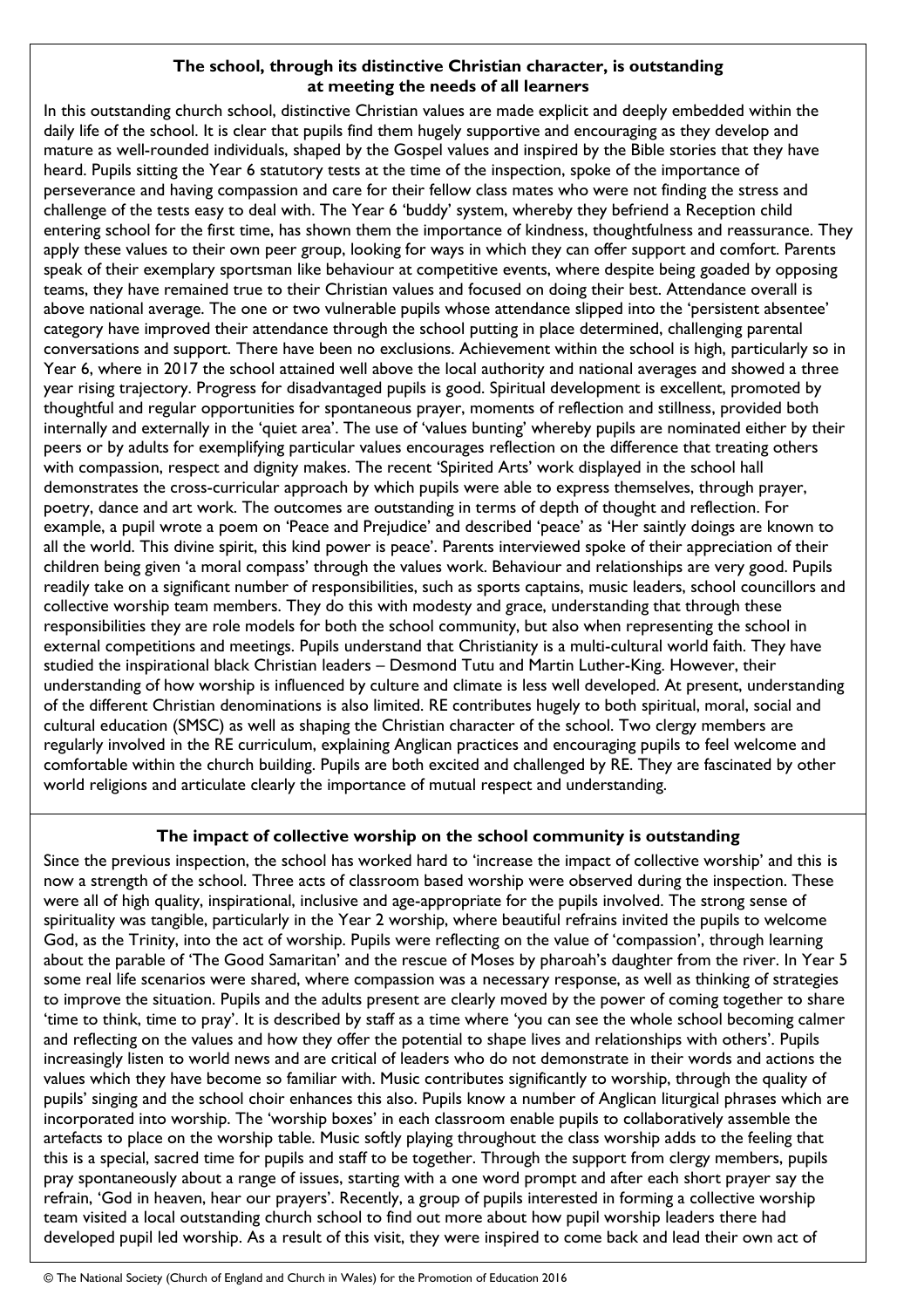# **The school, through its distinctive Christian character, is outstanding at meeting the needs of all learners**

In this outstanding church school, distinctive Christian values are made explicit and deeply embedded within the daily life of the school. It is clear that pupils find them hugely supportive and encouraging as they develop and mature as well-rounded individuals, shaped by the Gospel values and inspired by the Bible stories that they have heard. Pupils sitting the Year 6 statutory tests at the time of the inspection, spoke of the importance of perseverance and having compassion and care for their fellow class mates who were not finding the stress and challenge of the tests easy to deal with. The Year 6 'buddy' system, whereby they befriend a Reception child entering school for the first time, has shown them the importance of kindness, thoughtfulness and reassurance. They apply these values to their own peer group, looking for ways in which they can offer support and comfort. Parents speak of their exemplary sportsman like behaviour at competitive events, where despite being goaded by opposing teams, they have remained true to their Christian values and focused on doing their best. Attendance overall is above national average. The one or two vulnerable pupils whose attendance slipped into the 'persistent absentee' category have improved their attendance through the school putting in place determined, challenging parental conversations and support. There have been no exclusions. Achievement within the school is high, particularly so in Year 6, where in 2017 the school attained well above the local authority and national averages and showed a three year rising trajectory. Progress for disadvantaged pupils is good. Spiritual development is excellent, promoted by thoughtful and regular opportunities for spontaneous prayer, moments of reflection and stillness, provided both internally and externally in the 'quiet area'. The use of 'values bunting' whereby pupils are nominated either by their peers or by adults for exemplifying particular values encourages reflection on the difference that treating others with compassion, respect and dignity makes. The recent 'Spirited Arts' work displayed in the school hall demonstrates the cross-curricular approach by which pupils were able to express themselves, through prayer, poetry, dance and art work. The outcomes are outstanding in terms of depth of thought and reflection. For example, a pupil wrote a poem on 'Peace and Prejudice' and described 'peace' as 'Her saintly doings are known to all the world. This divine spirit, this kind power is peace'. Parents interviewed spoke of their appreciation of their children being given 'a moral compass' through the values work. Behaviour and relationships are very good. Pupils readily take on a significant number of responsibilities, such as sports captains, music leaders, school councillors and collective worship team members. They do this with modesty and grace, understanding that through these responsibilities they are role models for both the school community, but also when representing the school in external competitions and meetings. Pupils understand that Christianity is a multi-cultural world faith. They have studied the inspirational black Christian leaders – Desmond Tutu and Martin Luther-King. However, their understanding of how worship is influenced by culture and climate is less well developed. At present, understanding of the different Christian denominations is also limited. RE contributes hugely to both spiritual, moral, social and cultural education (SMSC) as well as shaping the Christian character of the school. Two clergy members are regularly involved in the RE curriculum, explaining Anglican practices and encouraging pupils to feel welcome and comfortable within the church building. Pupils are both excited and challenged by RE. They are fascinated by other world religions and articulate clearly the importance of mutual respect and understanding.

# **The impact of collective worship on the school community is outstanding**

Since the previous inspection, the school has worked hard to 'increase the impact of collective worship' and this is now a strength of the school. Three acts of classroom based worship were observed during the inspection. These were all of high quality, inspirational, inclusive and age-appropriate for the pupils involved. The strong sense of spirituality was tangible, particularly in the Year 2 worship, where beautiful refrains invited the pupils to welcome God, as the Trinity, into the act of worship. Pupils were reflecting on the value of 'compassion', through learning about the parable of 'The Good Samaritan' and the rescue of Moses by pharoah's daughter from the river. In Year 5 some real life scenarios were shared, where compassion was a necessary response, as well as thinking of strategies to improve the situation. Pupils and the adults present are clearly moved by the power of coming together to share 'time to think, time to pray'. It is described by staff as a time where 'you can see the whole school becoming calmer and reflecting on the values and how they offer the potential to shape lives and relationships with others'. Pupils increasingly listen to world news and are critical of leaders who do not demonstrate in their words and actions the values which they have become so familiar with. Music contributes significantly to worship, through the quality of pupils' singing and the school choir enhances this also. Pupils know a number of Anglican liturgical phrases which are incorporated into worship. The 'worship boxes' in each classroom enable pupils to collaboratively assemble the artefacts to place on the worship table. Music softly playing throughout the class worship adds to the feeling that this is a special, sacred time for pupils and staff to be together. Through the support from clergy members, pupils pray spontaneously about a range of issues, starting with a one word prompt and after each short prayer say the refrain, 'God in heaven, hear our prayers'. Recently, a group of pupils interested in forming a collective worship team visited a local outstanding church school to find out more about how pupil worship leaders there had developed pupil led worship. As a result of this visit, they were inspired to come back and lead their own act of